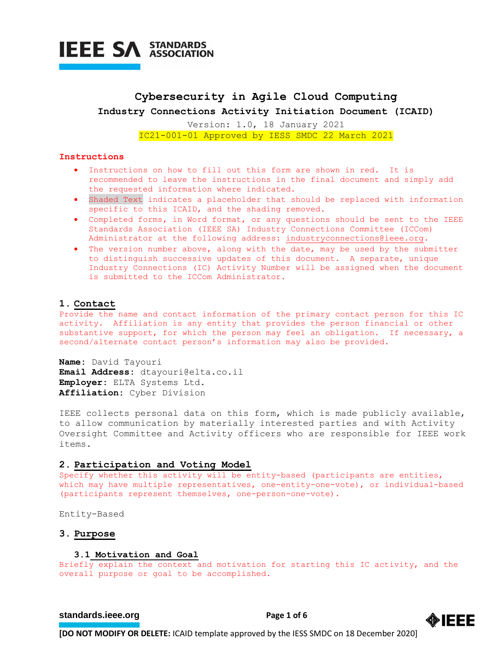

## **Cybersecurity in Agile Cloud Computing Industry Connections Activity Initiation Document (ICAID)**

Version: 1.0, 18 January 2021 IC21-001-01 Approved by IESS SMDC 22 March 2021

#### **Instructions**

- Instructions on how to fill out this form are shown in red. It is recommended to leave the instructions in the final document and simply add the requested information where indicated.
- Shaded Text indicates a placeholder that should be replaced with information specific to this ICAID, and the shading removed.
- Completed forms, in Word format, or any questions should be sent to the IEEE Standards Association (IEEE SA) Industry Connections Committee (ICCom) Administrator at the following address: [industryconnections@ieee.org.](mailto:industryconnections@ieee.org)
- The version number above, along with the date, may be used by the submitter to distinguish successive updates of this document. A separate, unique Industry Connections (IC) Activity Number will be assigned when the document is submitted to the ICCom Administrator.

#### **1. Contact**

Provide the name and contact information of the primary contact person for this IC activity. Affiliation is any entity that provides the person financial or other substantive support, for which the person may feel an obligation. If necessary, a second/alternate contact person's information may also be provided.

**Name:** David Tayouri **Email Address:** dtayouri@elta.co.il **Employer:** ELTA Systems Ltd. **Affiliation:** Cyber Division

IEEE collects personal data on this form, which is made publicly available, to allow communication by materially interested parties and with Activity Oversight Committee and Activity officers who are responsible for IEEE work items.

#### **2. Participation and Voting Model**

Specify whether this activity will be entity-based (participants are entities, which may have multiple representatives, one-entity-one-vote), or individual-based (participants represent themselves, one-person-one-vote).

Entity-Based

## **3. Purpose**

#### **3.1 Motivation and Goal**

Briefly explain the context and motivation for starting this IC activity, and the overall purpose or goal to be accomplished.

## **[standards.ieee.org](http://standards.ieee.org/)**<br> **Page 1 of 6**

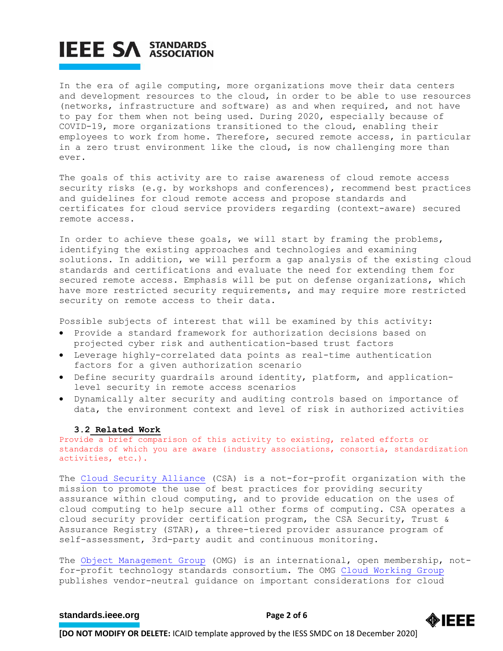In the era of agile computing, more organizations move their data centers and development resources to the cloud, in order to be able to use resources (networks, infrastructure and software) as and when required, and not have to pay for them when not being used. During 2020, especially because of COVID-19, more organizations transitioned to the cloud, enabling their employees to work from home. Therefore, secured remote access, in particular in a zero trust environment like the cloud, is now challenging more than ever.

The goals of this activity are to raise awareness of cloud remote access security risks (e.g. by workshops and conferences), recommend best practices and guidelines for cloud remote access and propose standards and certificates for cloud service providers regarding (context-aware) secured remote access.

In order to achieve these goals, we will start by framing the problems, identifying the existing approaches and technologies and examining solutions. In addition, we will perform a gap analysis of the existing cloud standards and certifications and evaluate the need for extending them for secured remote access. Emphasis will be put on defense organizations, which have more restricted security requirements, and may require more restricted security on remote access to their data.

Possible subjects of interest that will be examined by this activity:

- Provide a standard framework for authorization decisions based on projected cyber risk and authentication-based trust factors
- Leverage highly-correlated data points as real-time authentication factors for a given authorization scenario
- Define security guardrails around identity, platform, and applicationlevel security in remote access scenarios
- Dynamically alter security and auditing controls based on importance of data, the environment context and level of risk in authorized activities

#### **3.2 Related Work**

Provide a brief comparison of this activity to existing, related efforts or standards of which you are aware (industry associations, consortia, standardization activities, etc.).

The [Cloud Security Alliance](https://cloudsecurityalliance.org/) (CSA) is a not-for-profit organization with the mission to promote the use of best practices for providing security assurance within cloud computing, and to provide education on the uses of cloud computing to help secure all other forms of computing. CSA operates a cloud security provider certification program, the CSA Security, Trust & Assurance Registry (STAR), a three-tiered provider assurance program of self-assessment, 3rd-party audit and continuous monitoring.

The [Object Management Group](https://www.omg.org/) (OMG) is an international, open membership, notfor-profit technology standards consortium. The OMG [Cloud Working Group](https://www.omg.org/cloud/) publishes vendor-neutral guidance on important considerations for cloud

## **[standards.ieee.org](http://standards.ieee.org/)**<br> **Page 2 of 6**

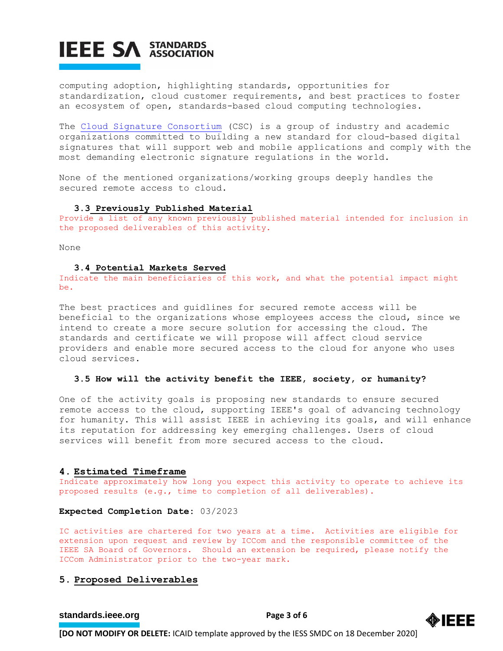computing adoption, highlighting standards, opportunities for standardization, cloud customer requirements, and best practices to foster an ecosystem of open, standards-based cloud computing technologies.

The [Cloud Signature Consortium](https://cloudsignatureconsortium.org/) (CSC) is a group of industry and academic organizations committed to building a new standard for cloud-based digital signatures that will support web and mobile applications and comply with the most demanding electronic signature regulations in the world.

None of the mentioned organizations/working groups deeply handles the secured remote access to cloud.

#### **3.3 Previously Published Material**

Provide a list of any known previously published material intended for inclusion in the proposed deliverables of this activity.

None

#### **3.4 Potential Markets Served**

Indicate the main beneficiaries of this work, and what the potential impact might be.

The best practices and guidlines for secured remote access will be beneficial to the organizations whose employees access the cloud, since we intend to create a more secure solution for accessing the cloud. The standards and certificate we will propose will affect cloud service providers and enable more secured access to the cloud for anyone who uses cloud services.

### **3.5 How will the activity benefit the IEEE, society, or humanity?**

One of the activity goals is proposing new standards to ensure secured remote access to the cloud, supporting IEEE's goal of advancing technology for humanity. This will assist IEEE in achieving its goals, and will enhance its reputation for addressing key emerging challenges. Users of cloud services will benefit from more secured access to the cloud.

#### **4. Estimated Timeframe**

Indicate approximately how long you expect this activity to operate to achieve its proposed results (e.g., time to completion of all deliverables).

### **Expected Completion Date:** 03/2023

IC activities are chartered for two years at a time. Activities are eligible for extension upon request and review by ICCom and the responsible committee of the IEEE SA Board of Governors. Should an extension be required, please notify the ICCom Administrator prior to the two-year mark.

## **5. Proposed Deliverables**

## **[standards.ieee.org](http://standards.ieee.org/)**<br> **Page 3 of 6**

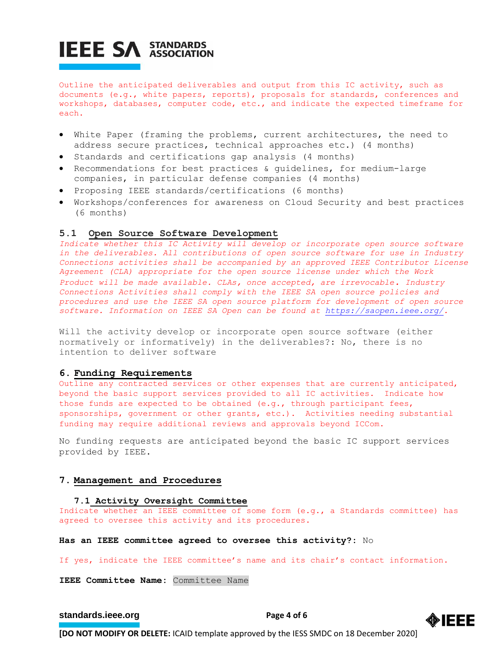Outline the anticipated deliverables and output from this IC activity, such as documents (e.g., white papers, reports), proposals for standards, conferences and workshops, databases, computer code, etc., and indicate the expected timeframe for each.

- White Paper (framing the problems, current architectures, the need to address secure practices, technical approaches etc.) (4 months)
- Standards and certifications gap analysis (4 months)
- Recommendations for best practices & guidelines, for medium-large companies, in particular defense companies (4 months)
- Proposing IEEE standards/certifications (6 months)
- Workshops/conferences for awareness on Cloud Security and best practices (6 months)

## **5.1 Open Source Software Development**

Indicate whether this IC Activity will develop or incorporate open source software *in the deliverables. All contributions of open source software for use in Industry Connections activities shall be accompanied by an approved IEEE Contributor License Agreement (CLA) appropriate for the open source license under which the Work Product will be made available. CLAs, once accepted, are irrevocable. Industry Connections Activities shall comply with the IEEE SA open source policies and procedures and use the IEEE SA open source platform for development of open source software. Information on IEEE SA Open can be found at [https://saopen.ieee.org/.](https://saopen.ieee.org/)* 

Will the activity develop or incorporate open source software (either normatively or informatively) in the deliverables?: No, there is no intention to deliver software

#### **6. Funding Requirements**

Outline any contracted services or other expenses that are currently anticipated, beyond the basic support services provided to all IC activities. Indicate how those funds are expected to be obtained (e.g., through participant fees, sponsorships, government or other grants, etc.). Activities needing substantial funding may require additional reviews and approvals beyond ICCom.

No funding requests are anticipated beyond the basic IC support services provided by IEEE.

### **7. Management and Procedures**

#### **7.1 Activity Oversight Committee**

Indicate whether an IEEE committee of some form (e.g., a Standards committee) has agreed to oversee this activity and its procedures.

**Has an IEEE committee agreed to oversee this activity?:** No

If yes, indicate the IEEE committee's name and its chair's contact information.

**IEEE Committee Name:** Committee Name

## **[standards.ieee.org](http://standards.ieee.org/)**<br> **Page 4 of 6**

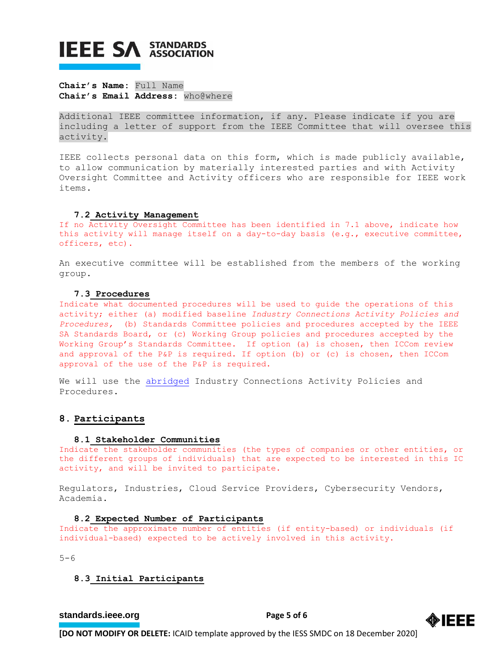## **Chair's Name:** Full Name **Chair's Email Address:** who@where

Additional IEEE committee information, if any. Please indicate if you are including a letter of support from the IEEE Committee that will oversee this activity.

IEEE collects personal data on this form, which is made publicly available, to allow communication by materially interested parties and with Activity Oversight Committee and Activity officers who are responsible for IEEE work items.

### **7.2 Activity Management**

If no Activity Oversight Committee has been identified in 7.1 above, indicate how this activity will manage itself on a day-to-day basis (e.g., executive committee, officers, etc).

An executive committee will be established from the members of the working group.

## **7.3 Procedures**

Indicate what documented procedures will be used to guide the operations of this activity; either (a) modified baseline *Industry Connections Activity Policies and Procedures,* (b) Standards Committee policies and procedures accepted by the IEEE SA Standards Board, or (c) Working Group policies and procedures accepted by the Working Group's Standards Committee. If option (a) is chosen, then ICCom review and approval of the P&P is required. If option (b) or (c) is chosen, then ICCom approval of the use of the P&P is required.

We will use the [abridged](https://standards.ieee.org/content/dam/ieee-standards/standards/web/governance/iccom/IC_Activity_PP_Abridged_Entity.doc) Industry Connections Activity Policies and Procedures.

## **8. Participants**

#### **8.1 Stakeholder Communities**

Indicate the stakeholder communities (the types of companies or other entities, or the different groups of individuals) that are expected to be interested in this IC activity, and will be invited to participate.

Regulators, Industries, Cloud Service Providers, Cybersecurity Vendors, Academia.

### **8.2 Expected Number of Participants**

Indicate the approximate number of entities (if entity-based) or individuals (if individual-based) expected to be actively involved in this activity.

 $5 - 6$ 

## **8.3 Initial Participants**

## **[standards.ieee.org](http://standards.ieee.org/) EXECUTE: Page 5 of 6**